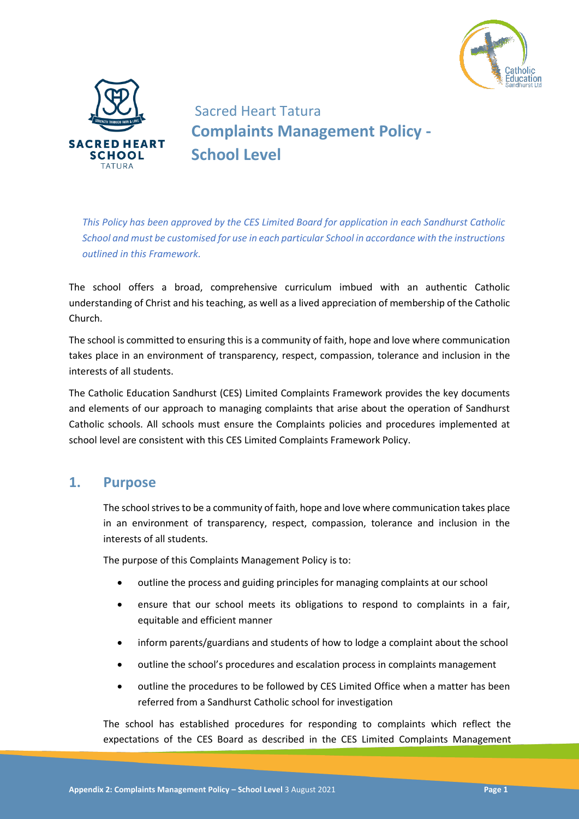



# Sacred Heart Tatura **Complaints Management Policy - School Level**

*This Policy has been approved by the CES Limited Board for application in each Sandhurst Catholic School and must be customised for use in each particular School in accordance with the instructions outlined in this Framework.* 

The school offers a broad, comprehensive curriculum imbued with an authentic Catholic understanding of Christ and his teaching, as well as a lived appreciation of membership of the Catholic Church.

The school is committed to ensuring this is a community of faith, hope and love where communication takes place in an environment of transparency, respect, compassion, tolerance and inclusion in the interests of all students.

The Catholic Education Sandhurst (CES) Limited Complaints Framework provides the key documents and elements of our approach to managing complaints that arise about the operation of Sandhurst Catholic schools. All schools must ensure the Complaints policies and procedures implemented at school level are consistent with this CES Limited Complaints Framework Policy.

### **1. Purpose**

The school strives to be a community of faith, hope and love where communication takes place in an environment of transparency, respect, compassion, tolerance and inclusion in the interests of all students.

The purpose of this Complaints Management Policy is to:

- outline the process and guiding principles for managing complaints at our school
- ensure that our school meets its obligations to respond to complaints in a fair, equitable and efficient manner
- inform parents/guardians and students of how to lodge a complaint about the school
- outline the school's procedures and escalation process in complaints management
- outline the procedures to be followed by CES Limited Office when a matter has been referred from a Sandhurst Catholic school for investigation

The school has established procedures for responding to complaints which reflect the expectations of the CES Board as described in the CES Limited Complaints Management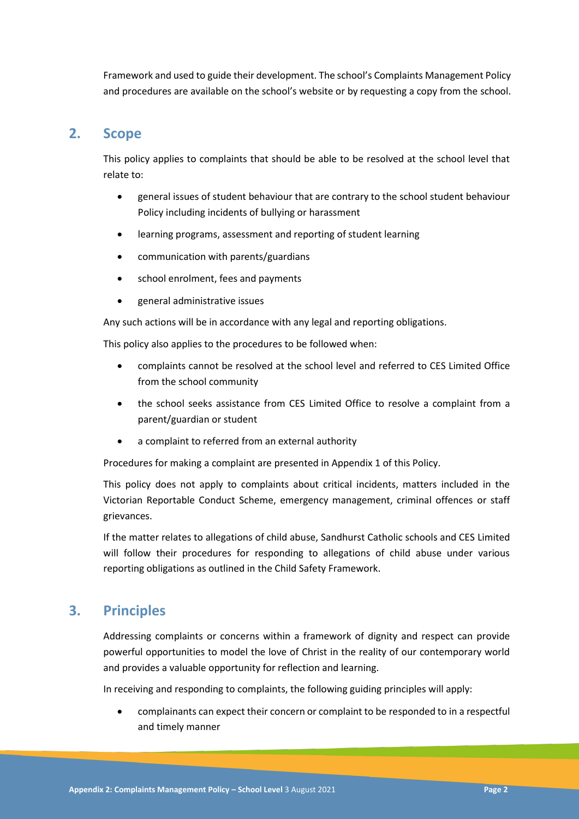Framework and used to guide their development. The school's Complaints Management Policy and procedures are available on the school's website or by requesting a copy from the school.

## **2. Scope**

This policy applies to complaints that should be able to be resolved at the school level that relate to:

- general issues of student behaviour that are contrary to the school student behaviour Policy including incidents of bullying or harassment
- learning programs, assessment and reporting of student learning
- communication with parents/guardians
- school enrolment, fees and payments
- general administrative issues

Any such actions will be in accordance with any legal and reporting obligations.

This policy also applies to the procedures to be followed when:

- complaints cannot be resolved at the school level and referred to CES Limited Office from the school community
- the school seeks assistance from CES Limited Office to resolve a complaint from a parent/guardian or student
- a complaint to referred from an external authority

Procedures for making a complaint are presented in Appendix 1 of this Policy.

This policy does not apply to complaints about critical incidents, matters included in the Victorian Reportable Conduct Scheme, emergency management, criminal offences or staff grievances.

If the matter relates to allegations of child abuse, Sandhurst Catholic schools and CES Limited will follow their procedures for responding to allegations of child abuse under various reporting obligations as outlined in the Child Safety Framework.

## **3. Principles**

Addressing complaints or concerns within a framework of dignity and respect can provide powerful opportunities to model the love of Christ in the reality of our contemporary world and provides a valuable opportunity for reflection and learning.

In receiving and responding to complaints, the following guiding principles will apply:

 complainants can expect their concern or complaint to be responded to in a respectful and timely manner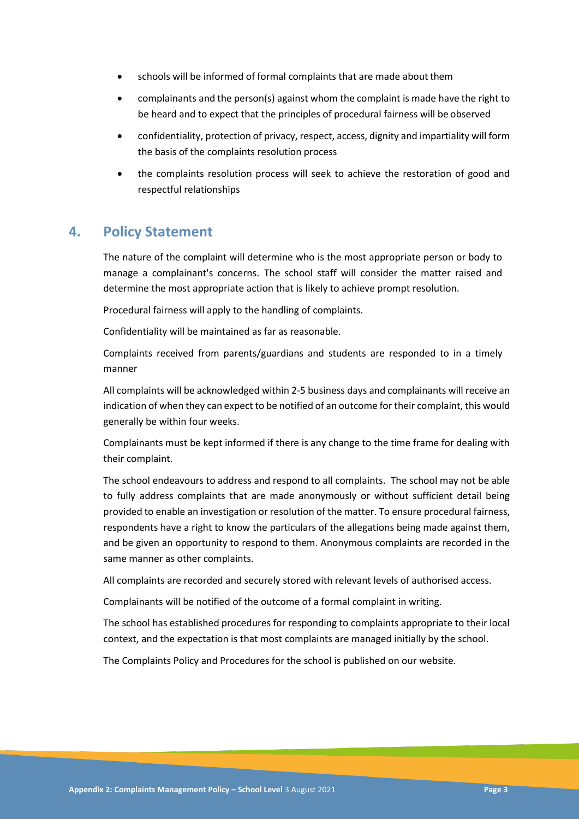- schools will be informed of formal complaints that are made about them
- complainants and the person(s) against whom the complaint is made have the right to be heard and to expect that the principles of procedural fairness will be observed
- confidentiality, protection of privacy, respect, access, dignity and impartiality will form the basis of the complaints resolution process
- the complaints resolution process will seek to achieve the restoration of good and respectful relationships

#### **4. Policy Statement**

The nature of the complaint will determine who is the most appropriate person or body to manage a complainant's concerns. The school staff will consider the matter raised and determine the most appropriate action that is likely to achieve prompt resolution.

Procedural fairness will apply to the handling of complaints.

Confidentiality will be maintained as far as reasonable.

Complaints received from parents/guardians and students are responded to in a timely manner

All complaints will be acknowledged within 2-5 business days and complainants will receive an indication of when they can expect to be notified of an outcome for their complaint, this would generally be within four weeks.

Complainants must be kept informed if there is any change to the time frame for dealing with their complaint.

The school endeavours to address and respond to all complaints. The school may not be able to fully address complaints that are made anonymously or without sufficient detail being provided to enable an investigation or resolution of the matter. To ensure procedural fairness, respondents have a right to know the particulars of the allegations being made against them, and be given an opportunity to respond to them. Anonymous complaints are recorded in the same manner as other complaints.

All complaints are recorded and securely stored with relevant levels of authorised access.

Complainants will be notified of the outcome of a formal complaint in writing.

The school has established procedures for responding to complaints appropriate to their local context, and the expectation is that most complaints are managed initially by the school.

The Complaints Policy and Procedures for the school is published on our website.